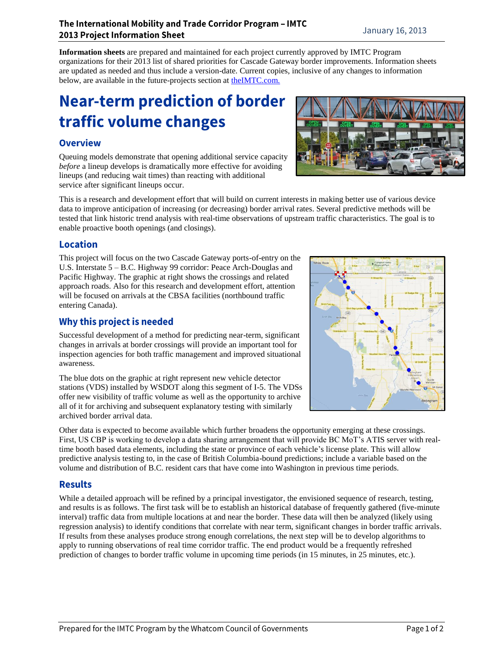**Information sheets** are prepared and maintained for each project currently approved by IMTC Program organizations for their 2013 list of shared priorities for Cascade Gateway border improvements. Information sheets are updated as needed and thus include a version-date. Current copies, inclusive of any changes to information below, are available in the future-projects section at [theIMTC.com.](http://www.theimtc.com/)

# **Near-term prediction of border** traffic volume changes

## **Overview**

Queuing models demonstrate that opening additional service capacity *before* a lineup develops is dramatically more effective for avoiding lineups (and reducing wait times) than reacting with additional service after significant lineups occur.

This is a research and development effort that will build on current interests in making better use of various device data to improve anticipation of increasing (or decreasing) border arrival rates. Several predictive methods will be tested that link historic trend analysis with real-time observations of upstream traffic characteristics. The goal is to enable proactive booth openings (and closings).

### **Location**

This project will focus on the two Cascade Gateway ports-of-entry on the U.S. Interstate 5 – B.C. Highway 99 corridor: Peace Arch-Douglas and Pacific Highway. The graphic at right shows the crossings and related approach roads. Also for this research and development effort, attention will be focused on arrivals at the CBSA facilities (northbound traffic entering Canada).

## Why this project is needed

Successful development of a method for predicting near-term, significant changes in arrivals at border crossings will provide an important tool for inspection agencies for both traffic management and improved situational awareness.

The blue dots on the graphic at right represent new vehicle detector stations (VDS) installed by WSDOT along this segment of I-5. The VDSs offer new visibility of traffic volume as well as the opportunity to archive all of it for archiving and subsequent explanatory testing with similarly archived border arrival data.

Other data is expected to become available which further broadens the opportunity emerging at these crossings. First, US CBP is working to develop a data sharing arrangement that will provide BC MoT's ATIS server with realtime booth based data elements, including the state or province of each vehicle's license plate. This will allow predictive analysis testing to, in the case of British Columbia-bound predictions; include a variable based on the volume and distribution of B.C. resident cars that have come into Washington in previous time periods.

## **Results**

While a detailed approach will be refined by a principal investigator, the envisioned sequence of research, testing, and results is as follows. The first task will be to establish an historical database of frequently gathered (five-minute interval) traffic data from multiple locations at and near the border. These data will then be analyzed (likely using regression analysis) to identify conditions that correlate with near term, significant changes in border traffic arrivals. If results from these analyses produce strong enough correlations, the next step will be to develop algorithms to apply to running observations of real time corridor traffic. The end product would be a frequently refreshed prediction of changes to border traffic volume in upcoming time periods (in 15 minutes, in 25 minutes, etc.).